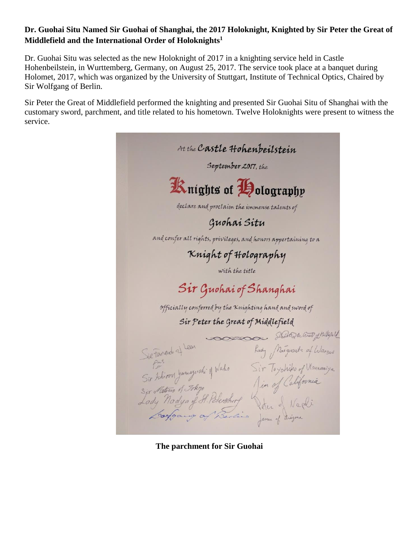## **Dr. Guohai Situ Named Sir Guohai of Shanghai, the 2017 Holoknight, Knighted by Sir Peter the Great of Middlefield and the International Order of Holoknights<sup>1</sup>**

Dr. Guohai Situ was selected as the new Holoknight of 2017 in a knighting service held in Castle Hohenbeilstein, in Wurttemberg, Germany, on August 25, 2017. The service took place at a banquet during Holomet, 2017, which was organized by the University of Stuttgart, Institute of Technical Optics, Chaired by Sir Wolfgang of Berlin.

Sir Peter the Great of Middlefield performed the knighting and presented Sir Guohai Situ of Shanghai with the customary sword, parchment, and title related to his hometown. Twelve Holoknights were present to witness the service.



**The parchment for Sir Guohai**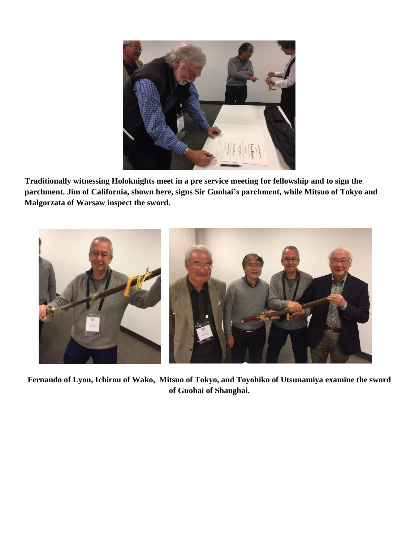

**Traditionally witnessing Holoknights meet in a pre service meeting for fellowship and to sign the parchment. Jim of California, shown here, signs Sir Guohai's parchment, while Mitsuo of Tokyo and Malgorzata of Warsaw inspect the sword.**



**Fernando of Lyon, Ichirou of Wako, Mitsuo of Tokyo, and Toyohiko of Utsunamiya examine the sword of Guohai of Shanghai.**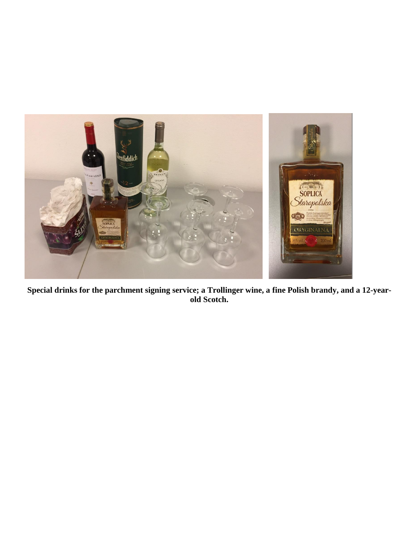

**Special drinks for the parchment signing service; a Trollinger wine, a fine Polish brandy, and a 12-yearold Scotch.**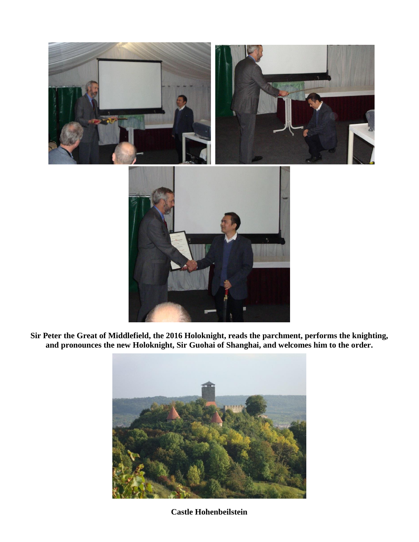

**Sir Peter the Great of Middlefield, the 2016 Holoknight, reads the parchment, performs the knighting, and pronounces the new Holoknight, Sir Guohai of Shanghai, and welcomes him to the order.**



**Castle Hohenbeilstein**